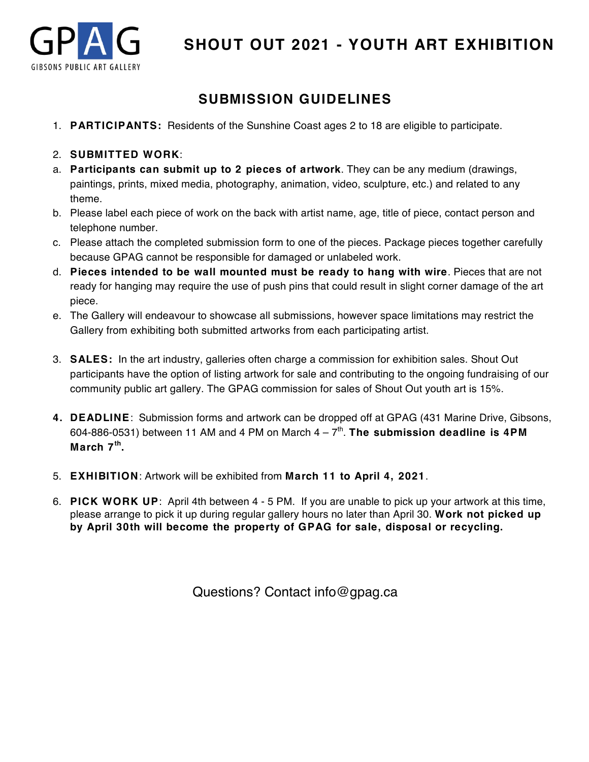

## **SUBMISSION GUIDELINES**

- 1. **PARTICIPANTS:** Residents of the Sunshine Coast ages 2 to 18 are eligible to participate.
- 2. **SUBMITTED WORK**:
- a. **Participants can submit up to 2 pieces of artwork**. They can be any medium (drawings, paintings, prints, mixed media, photography, animation, video, sculpture, etc.) and related to any theme.
- b. Please label each piece of work on the back with artist name, age, title of piece, contact person and telephone number.
- c. Please attach the completed submission form to one of the pieces. Package pieces together carefully because GPAG cannot be responsible for damaged or unlabeled work.
- d. **Pieces intended to be wall mounted must be ready to hang with wire**. Pieces that are not ready for hanging may require the use of push pins that could result in slight corner damage of the art piece.
- e. The Gallery will endeavour to showcase all submissions, however space limitations may restrict the Gallery from exhibiting both submitted artworks from each participating artist.
- 3. **SALES:** In the art industry, galleries often charge a commission for exhibition sales. Shout Out participants have the option of listing artwork for sale and contributing to the ongoing fundraising of our community public art gallery. The GPAG commission for sales of Shout Out youth art is 15%.
- **4. DEADLINE**: Submission forms and artwork can be dropped off at GPAG (431 Marine Drive, Gibsons, 604-886-0531) between 11 AM and 4 PM on March  $4 - 7<sup>th</sup>$ . The submission deadline is 4PM **March 7th.**
- 5. **EXHIBITION**: Artwork will be exhibited from **March 11 to April 4, 2021**.
- 6. **PICK WORK UP**: April 4th between 4 5 PM. If you are unable to pick up your artwork at this time, please arrange to pick it up during regular gallery hours no later than April 30. **Work not picked up by April 30th will become the property of GPAG for sale, disposal or recycling.**

Questions? Contact info@gpag.ca